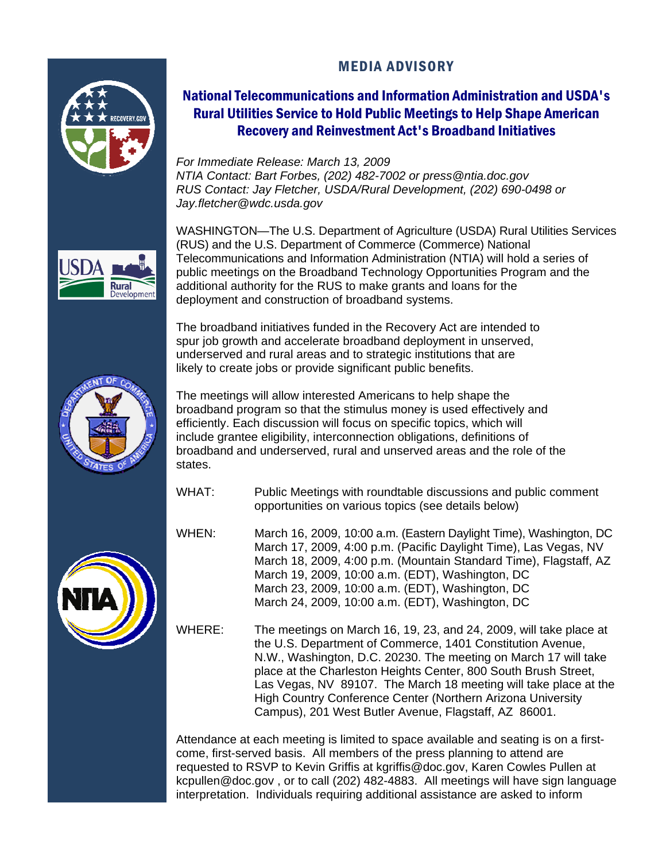# MEDIA ADVISORY



# National Telecommunications and Information Administration and USDA's Rural Utilities Service to Hold Public Meetings to Help Shape American Recovery and Reinvestment Act's Broadband Initiatives

*For Immediate Release: March 13, 2009 NTIA Contact: Bart Forbes, (202) 482-7002 or press@ntia.doc.gov RUS Contact: Jay Fletcher, USDA/Rural Development, (202) 690-0498 or Jay.fletcher@wdc.usda.gov* 



WASHINGTON—The U.S. Department of Agriculture (USDA) Rural Utilities Services (RUS) and the U.S. Department of Commerce (Commerce) National Telecommunications and Information Administration (NTIA) will hold a series of public meetings on the Broadband Technology Opportunities Program and the additional authority for the RUS to make grants and loans for the deployment and construction of broadband systems.

The broadband initiatives funded in the Recovery Act are intended to spur job growth and accelerate broadband deployment in unserved, underserved and rural areas and to strategic institutions that are likely to create jobs or provide significant public benefits.





The meetings will allow interested Americans to help shape the broadband program so that the stimulus money is used effectively and efficiently. Each discussion will focus on specific topics, which will include grantee eligibility, interconnection obligations, definitions of broadband and underserved, rural and unserved areas and the role of the states.

- WHAT: Public Meetings with roundtable discussions and public comment opportunities on various topics (see details below)
- WHEN: March 16, 2009, 10:00 a.m. (Eastern Daylight Time), Washington, DC March 17, 2009, 4:00 p.m. (Pacific Daylight Time), Las Vegas, NV March 18, 2009, 4:00 p.m. (Mountain Standard Time), Flagstaff, AZ March 19, 2009, 10:00 a.m. (EDT), Washington, DC March 23, 2009, 10:00 a.m. (EDT), Washington, DC March 24, 2009, 10:00 a.m. (EDT), Washington, DC

WHERE: The meetings on March 16, 19, 23, and 24, 2009, will take place at the U.S. Department of Commerce, 1401 Constitution Avenue, N.W., Washington, D.C. 20230. The meeting on March 17 will take place at the Charleston Heights Center, 800 South Brush Street, Las Vegas, NV 89107. The March 18 meeting will take place at the High Country Conference Center (Northern Arizona University Campus), 201 West Butler Avenue, Flagstaff, AZ 86001.

Attendance at each meeting is limited to space available and seating is on a firstcome, first-served basis. All members of the press planning to attend are requested to RSVP to Kevin Griffis at kgriffis@doc.gov, Karen Cowles Pullen at kcpullen@doc.gov , or to call (202) 482-4883. All meetings will have sign language interpretation. Individuals requiring additional assistance are asked to inform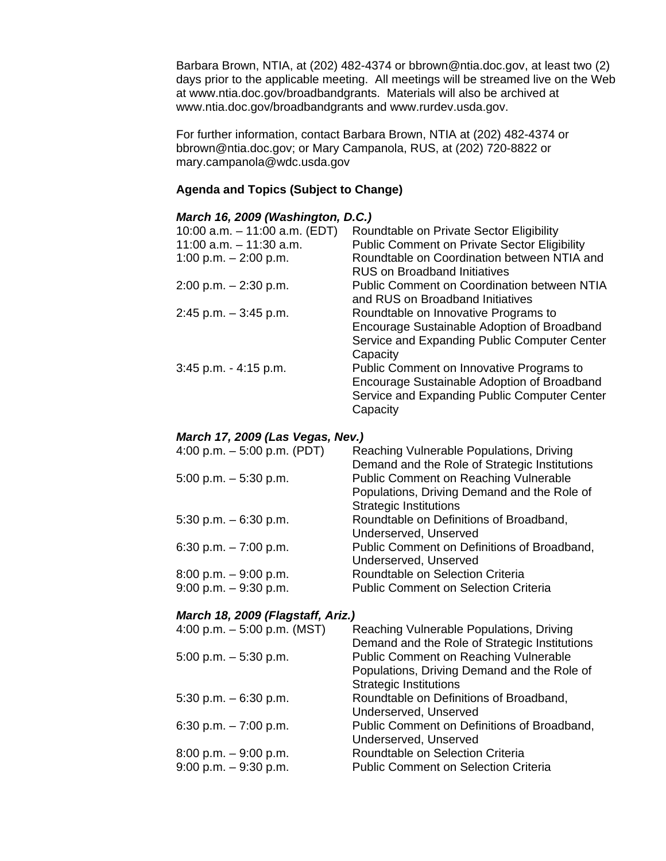Barbara Brown, NTIA, at (202) 482-4374 or bbrown@ntia.doc.gov, at least two (2) days prior to the applicable meeting. All meetings will be streamed live on the Web at www.ntia.doc.gov/broadbandgrants. Materials will also be archived at www.ntia.doc.gov/broadbandgrants and www.rurdev.usda.gov.

For further information, contact Barbara Brown, NTIA at (202) 482-4374 or bbrown@ntia.doc.gov; or Mary Campanola, RUS, at (202) 720-8822 or mary.campanola@wdc.usda.gov

### **Agenda and Topics (Subject to Change)**

### *March 16, 2009 (Washington, D.C.)*

| 10:00 a.m. $-$ 11:00 a.m. (EDT) | Roundtable on Private Sector Eligibility            |
|---------------------------------|-----------------------------------------------------|
| $11:00$ a.m. $-11:30$ a.m.      | <b>Public Comment on Private Sector Eligibility</b> |
| 1:00 p.m. $-$ 2:00 p.m.         | Roundtable on Coordination between NTIA and         |
|                                 | <b>RUS on Broadband Initiatives</b>                 |
| $2:00$ p.m. $-2:30$ p.m.        | <b>Public Comment on Coordination between NTIA</b>  |
|                                 | and RUS on Broadband Initiatives                    |
| $2:45$ p.m. $-3:45$ p.m.        | Roundtable on Innovative Programs to                |
|                                 | Encourage Sustainable Adoption of Broadband         |
|                                 | Service and Expanding Public Computer Center        |
|                                 | Capacity                                            |
| $3:45$ p.m. $-4:15$ p.m.        | Public Comment on Innovative Programs to            |
|                                 | Encourage Sustainable Adoption of Broadband         |
|                                 | Service and Expanding Public Computer Center        |
|                                 | Capacity                                            |

### *March 17, 2009 (Las Vegas, Nev.)*

| 4:00 p.m. $-5:00$ p.m. (PDT) | Reaching Vulnerable Populations, Driving      |
|------------------------------|-----------------------------------------------|
|                              | Demand and the Role of Strategic Institutions |
| 5:00 p.m. $-5:30$ p.m.       | <b>Public Comment on Reaching Vulnerable</b>  |
|                              | Populations, Driving Demand and the Role of   |
|                              | <b>Strategic Institutions</b>                 |
| 5:30 p.m. $-6:30$ p.m.       | Roundtable on Definitions of Broadband,       |
|                              | Underserved, Unserved                         |
| 6:30 p.m. $-7:00$ p.m.       | Public Comment on Definitions of Broadband,   |
|                              | Underserved, Unserved                         |
| 8:00 p.m. $-9:00$ p.m.       | Roundtable on Selection Criteria              |
| $9:00$ p.m. $-9:30$ p.m.     | <b>Public Comment on Selection Criteria</b>   |

#### *March 18, 2009 (Flagstaff, Ariz.)*

| 4:00 p.m. $-5:00$ p.m. (MST) | Reaching Vulnerable Populations, Driving      |
|------------------------------|-----------------------------------------------|
|                              | Demand and the Role of Strategic Institutions |
| $5:00$ p.m. $-5:30$ p.m.     | <b>Public Comment on Reaching Vulnerable</b>  |
|                              | Populations, Driving Demand and the Role of   |
|                              | <b>Strategic Institutions</b>                 |
| $5:30$ p.m. $-6:30$ p.m.     | Roundtable on Definitions of Broadband,       |
|                              | Underserved, Unserved                         |
| 6:30 p.m. $-7:00$ p.m.       | Public Comment on Definitions of Broadband,   |
|                              | Underserved, Unserved                         |
| $8:00$ p.m. $-9:00$ p.m.     | Roundtable on Selection Criteria              |
| $9:00$ p.m. $-9:30$ p.m.     | <b>Public Comment on Selection Criteria</b>   |
|                              |                                               |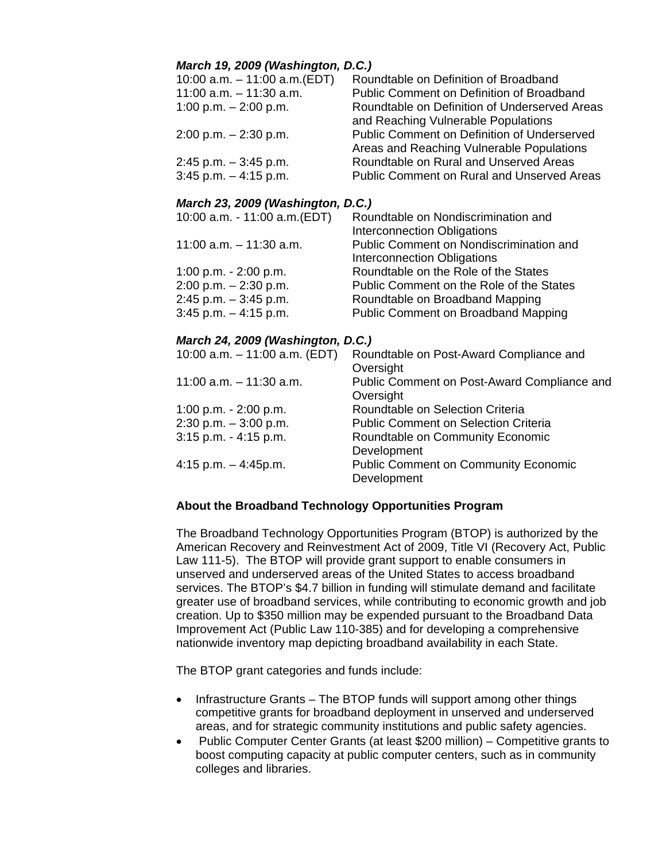## *March 19, 2009 (Washington, D.C.)*

| 10:00 a.m. - 11:00 a.m. (EDT) | Roundtable on Definition of Broadband              |
|-------------------------------|----------------------------------------------------|
| $11:00$ a.m. $-11:30$ a.m.    | Public Comment on Definition of Broadband          |
| 1:00 p.m. $-$ 2:00 p.m.       | Roundtable on Definition of Underserved Areas      |
|                               | and Reaching Vulnerable Populations                |
| 2:00 p.m. – 2:30 p.m.         | <b>Public Comment on Definition of Underserved</b> |
|                               | Areas and Reaching Vulnerable Populations          |
| 2:45 p.m. – 3:45 p.m.         | Roundtable on Rural and Unserved Areas             |
| $3:45$ p.m. $-4:15$ p.m.      | <b>Public Comment on Rural and Unserved Areas</b>  |
|                               |                                                    |

## *March 23, 2009 (Washington, D.C.)*

| 10:00 a.m. - 11:00 a.m. (EDT) | Roundtable on Nondiscrimination and      |
|-------------------------------|------------------------------------------|
|                               | Interconnection Obligations              |
| $11:00$ a.m. $-11:30$ a.m.    | Public Comment on Nondiscrimination and  |
|                               | Interconnection Obligations              |
| 1:00 p.m. $- 2:00$ p.m.       | Roundtable on the Role of the States     |
| $2:00$ p.m. $-2:30$ p.m.      | Public Comment on the Role of the States |
| $2:45$ p.m. $-3:45$ p.m.      | Roundtable on Broadband Mapping          |
| $3:45$ p.m. $-4:15$ p.m.      | Public Comment on Broadband Mapping      |
|                               |                                          |

### *March 24, 2009 (Washington, D.C.)*

| 10:00 a.m. $-$ 11:00 a.m. (EDT) | Roundtable on Post-Award Compliance and     |
|---------------------------------|---------------------------------------------|
|                                 | Oversight                                   |
| $11:00$ a.m. $-11:30$ a.m.      | Public Comment on Post-Award Compliance and |
|                                 | Oversight                                   |
| 1:00 p.m. $- 2:00$ p.m.         | Roundtable on Selection Criteria            |
| $2:30$ p.m. $-3:00$ p.m.        | <b>Public Comment on Selection Criteria</b> |
| $3:15$ p.m. $-4:15$ p.m.        | Roundtable on Community Economic            |
|                                 | Development                                 |
| $4:15$ p.m. $-4:45$ p.m.        | <b>Public Comment on Community Economic</b> |
|                                 | Development                                 |

### **About the Broadband Technology Opportunities Program**

The Broadband Technology Opportunities Program (BTOP) is authorized by the American Recovery and Reinvestment Act of 2009, Title VI (Recovery Act, Public Law 111-5). The BTOP will provide grant support to enable consumers in unserved and underserved areas of the United States to access broadband services. The BTOP's \$4.7 billion in funding will stimulate demand and facilitate greater use of broadband services, while contributing to economic growth and job creation. Up to \$350 million may be expended pursuant to the Broadband Data Improvement Act (Public Law 110-385) and for developing a comprehensive nationwide inventory map depicting broadband availability in each State.

The BTOP grant categories and funds include:

- Infrastructure Grants The BTOP funds will support among other things competitive grants for broadband deployment in unserved and underserved areas, and for strategic community institutions and public safety agencies.
- Public Computer Center Grants (at least \$200 million) Competitive grants to boost computing capacity at public computer centers, such as in community colleges and libraries.